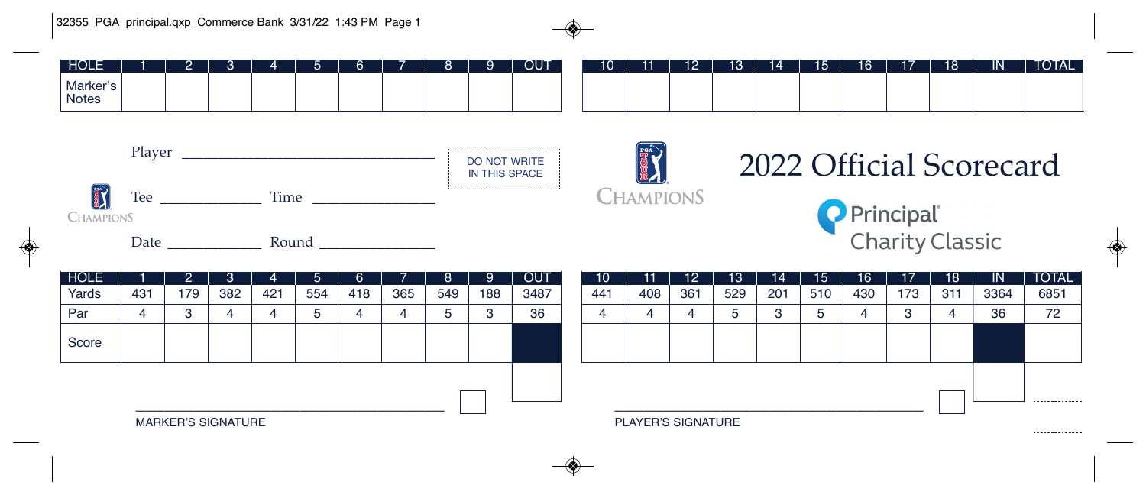| HOLE                     |  |  |  | $\overline{\phantom{a}}$ |  | <b>OUT</b> | 10 | 44 | 12 | 13 | 14 | 15 | 16 | 47 | 18 | <b>IN</b> | <b>TOTAL</b> |
|--------------------------|--|--|--|--------------------------|--|------------|----|----|----|----|----|----|----|----|----|-----------|--------------|
| Marker's<br><b>Notes</b> |  |  |  |                          |  |            |    |    |    |    |    |    |    |    |    |           |              |





## 2022 Official Scorecard





| HOLE  |     |                           | '3, | 4   | 5   | 6   |     |     | Ι9. | <b>OUT</b> |  | 10 <sup>°</sup> | 11                 | 12  | 13  | $\mathsf{14}$ | 15  | 16  | 17  | 18  | -IN  | <b>TOTAL</b>    |
|-------|-----|---------------------------|-----|-----|-----|-----|-----|-----|-----|------------|--|-----------------|--------------------|-----|-----|---------------|-----|-----|-----|-----|------|-----------------|
| Yards | 431 | 179                       | 382 | 421 | 554 | 418 | 365 | 549 | 188 | 3487       |  | 441             | 408                | 361 | 529 | 201           | 510 | 430 | 173 | 311 | 3364 | 6851            |
| Par   |     | ິ                         |     |     |     |     |     |     | o   | 36         |  | 4               |                    |     | ە   | 3             |     |     |     |     | 36   | 72              |
| Score |     |                           |     |     |     |     |     |     |     |            |  |                 |                    |     |     |               |     |     |     |     |      |                 |
|       |     | <b>MARKER'S SIGNATURE</b> |     |     |     |     |     |     |     |            |  |                 | PLAYER'S SIGNATURE |     |     |               |     |     |     |     |      | --------------  |
|       |     |                           |     |     |     |     |     |     |     |            |  |                 |                    |     |     |               |     |     |     |     |      | --------------- |